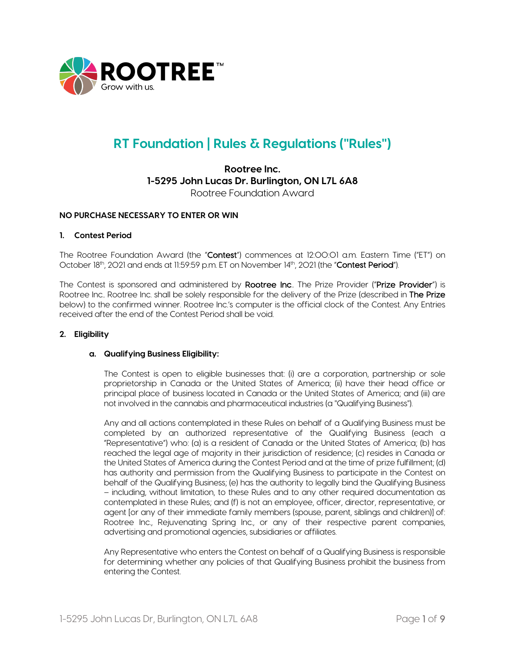

# **RT Foundation | Rules & Regulations ("Rules")**

# **Rootree Inc. 1-5295 John Lucas Dr. Burlington, ON L7L 6A8** Rootree Foundation Award

## **NO PURCHASE NECESSARY TO ENTER OR WIN**

#### **1. Contest Period**

The Rootree Foundation Award (the "Contest") commences at 12:00:01 a.m. Eastern Time ("ET") on October 18<sup>th</sup>, 2021 and ends at 11:59:59 p.m. ET on November 14th, 2021 (the "Contest Period").

The Contest is sponsored and administered by Rootree Inc.. The Prize Provider ("Prize Provider") is Rootree Inc.. Rootree Inc. shall be solely responsible for the delivery of the Prize (described in The Prize below) to the confirmed winner. Rootree Inc.'s computer is the official clock of the Contest. Any Entries received after the end of the Contest Period shall be void.

#### **2. Eligibility**

#### **a. Qualifying Business Eligibility:**

The Contest is open to eligible businesses that: (i) are a corporation, partnership or sole proprietorship in Canada or the United States of America; (ii) have their head office or principal place of business located in Canada or the United States of America; and (iii) are not involved in the cannabis and pharmaceutical industries (a "Qualifying Business").

Any and all actions contemplated in these Rules on behalf of a Qualifying Business must be completed by an authorized representative of the Qualifying Business (each a "Representative") who: (a) is a resident of Canada or the United States of America; (b) has reached the legal age of majority in their jurisdiction of residence; (c) resides in Canada or the United States of America during the Contest Period and at the time of prize fulfillment; (d) has authority and permission from the Qualifying Business to participate in the Contest on behalf of the Qualifying Business; (e) has the authority to legally bind the Qualifying Business – including, without limitation, to these Rules and to any other required documentation as contemplated in these Rules; and (f) is not an employee, officer, director, representative, or agent [or any of their immediate family members (spouse, parent, siblings and children)] of: Rootree Inc., Rejuvenating Spring Inc., or any of their respective parent companies, advertising and promotional agencies, subsidiaries or affiliates.

Any Representative who enters the Contest on behalf of a Qualifying Business is responsible for determining whether any policies of that Qualifying Business prohibit the business from entering the Contest.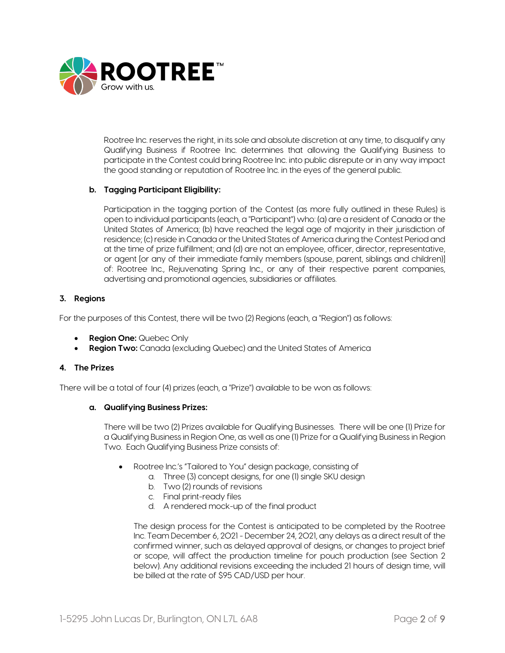

Rootree Inc. reserves the right, in its sole and absolute discretion at any time, to disqualify any Qualifying Business if Rootree Inc. determines that allowing the Qualifying Business to participate in the Contest could bring Rootree Inc. into public disrepute or in any way impact the good standing or reputation of Rootree Inc. in the eyes of the general public.

# **b. Tagging Participant Eligibility:**

Participation in the tagging portion of the Contest (as more fully outlined in these Rules) is open to individual participants (each, a "Participant") who: (a) are a resident of Canada or the United States of America; (b) have reached the legal age of majority in their jurisdiction of residence; (c) reside in Canada or the United States of America during the Contest Period and at the time of prize fulfillment; and (d) are not an employee, officer, director, representative, or agent [or any of their immediate family members (spouse, parent, siblings and children)] of: Rootree Inc., Rejuvenating Spring Inc., or any of their respective parent companies, advertising and promotional agencies, subsidiaries or affiliates.

## **3. Regions**

For the purposes of this Contest, there will be two (2) Regions (each, a "Region") as follows:

- **Region One:** Quebec Only
- **Region Two:** Canada (excluding Quebec) and the United States of America

## **4. The Prizes**

There will be a total of four (4) prizes (each, a "Prize") available to be won as follows:

#### **a. Qualifying Business Prizes:**

There will be two (2) Prizes available for Qualifying Businesses. There will be one (1) Prize for a Qualifying Business in Region One, as well as one (1) Prize for a Qualifying Business in Region Two. Each Qualifying Business Prize consists of:

- Rootree Inc.'s "Tailored to You" design package, consisting of
	- a. Three (3) concept designs, for one (1) single SKU design
	- b. Two (2) rounds of revisions
	- c. Final print-ready files
	- d. A rendered mock-up of the final product

The design process for the Contest is anticipated to be completed by the Rootree Inc. Team December 6, 2021 - December 24, 2021, any delays as a direct result of the confirmed winner, such as delayed approval of designs, or changes to project brief or scope, will affect the production timeline for pouch production (see Section 2 below). Any additional revisions exceeding the included 21 hours of design time, will be billed at the rate of \$95 CAD/USD per hour.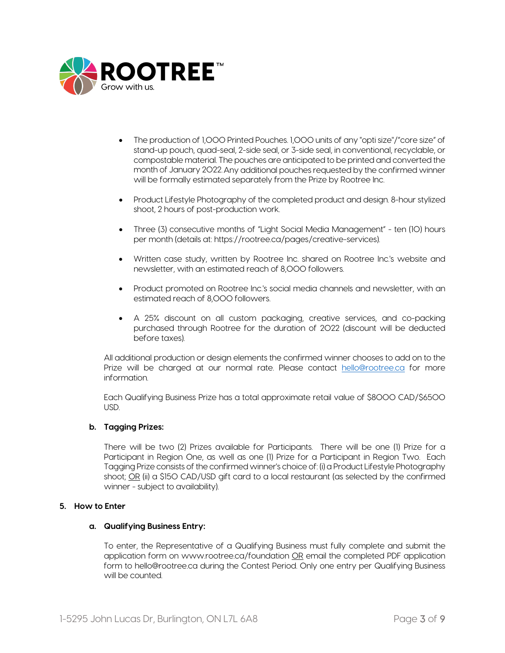

- The production of 1,000 Printed Pouches. 1,000 units of any "opti size"/"core size" of stand-up pouch, quad-seal, 2-side seal, or 3-side seal, in conventional, recyclable, or compostable material. The pouches are anticipated to be printed and converted the month of January 2022.Any additional pouches requested by the confirmed winner will be formally estimated separately from the Prize by Rootree Inc.
- Product Lifestyle Photography of the completed product and design. 8-hour stylized shoot, 2 hours of post-production work.
- Three (3) consecutive months of "Light Social Media Management" ten (10) hours per month (details at: https://rootree.ca/pages/creative-services).
- Written case study, written by Rootree Inc. shared on Rootree Inc.'s website and newsletter, with an estimated reach of 8,000 followers.
- Product promoted on Rootree Inc.'s social media channels and newsletter, with an estimated reach of 8,000 followers.
- A 25% discount on all custom packaging, creative services, and co-packing purchased through Rootree for the duration of 2022 (discount will be deducted before taxes).

All additional production or design elements the confirmed winner chooses to add on to the Prize will be charged at our normal rate. Please contact [hello@rootree.ca](mailto:hello@rootree.ca) for more information.

Each Qualifying Business Prize has a total approximate retail value of \$8000 CAD/\$6500 USD.

#### **b. Tagging Prizes:**

There will be two (2) Prizes available for Participants. There will be one (1) Prize for a Participant in Region One, as well as one (1) Prize for a Participant in Region Two. Each Tagging Prize consists of the confirmed winner's choice of: (i) a Product Lifestyle Photography shoot; OR (ii) a \$150 CAD/USD gift card to a local restaurant (as selected by the confirmed winner - subject to availability).

#### **5. How to Enter**

#### **a. Qualifying Business Entry:**

To enter, the Representative of a Qualifying Business must fully complete and submit the application form on www.rootree.ca/foundation OR email the completed PDF application form to hello@rootree.ca during the Contest Period. Only one entry per Qualifying Business will be counted.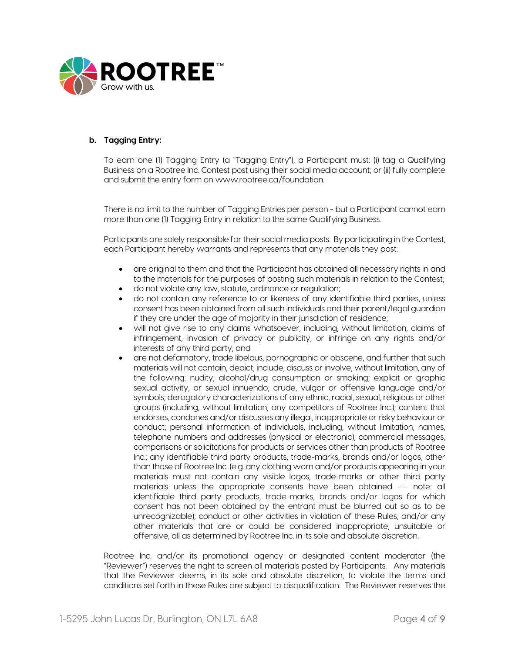

# **b. Tagging Entry:**

To earn one (1) Tagging Entry (a "Tagging Entry"), a Participant must: (i) tag a Qualifying Business on a Rootree Inc. Contest post using their social media account; or (ii) fully complete and submit the entry form on www.rootree.ca/foundation.

There is no limit to the number of Tagging Entries per person - but a Participant cannot earn more than one (1) Tagging Entry in relation to the same Qualifying Business.

Participants are solely responsible for their social media posts. By participating in the Contest, each Participant hereby warrants and represents that any materials they post:

- are original to them and that the Participant has obtained all necessary rights in and to the materials for the purposes of posting such materials in relation to the Contest;
- do not violate any law, statute, ordinance or regulation;
- do not contain any reference to or likeness of any identifiable third parties, unless consent has been obtained from all such individuals and their parent/legal guardian if they are under the age of majority in their jurisdiction of residence;
- will not give rise to any claims whatsoever, including, without limitation, claims of infringement, invasion of privacy or publicity, or infringe on any rights and/or interests of any third party; and
- are not defamatory, trade libelous, pornographic or obscene, and further that such materials will not contain, depict, include, discuss or involve, without limitation, any of the following: nudity; alcohol/drug consumption or smoking; explicit or graphic sexual activity, or sexual innuendo; crude, vulgar or offensive language and/or symbols; derogatory characterizations of any ethnic, racial, sexual, religious or other groups (including, without limitation, any competitors of Rootree Inc.); content that endorses, condones and/or discusses any illegal, inappropriate or risky behaviour or conduct; personal information of individuals, including, without limitation, names, telephone numbers and addresses (physical or electronic); commercial messages, comparisons or solicitations for products or services other than products of Rootree Inc.; any identifiable third party products, trade-marks, brands and/or logos, other than those of Rootree Inc. (e.g. any clothing worn and/or products appearing in your materials must not contain any visible logos, trade-marks or other third party materials unless the appropriate consents have been obtained --- note: all identifiable third party products, trade-marks, brands and/or logos for which consent has not been obtained by the entrant must be blurred out so as to be unrecognizable); conduct or other activities in violation of these Rules; and/or any other materials that are or could be considered inappropriate, unsuitable or offensive, all as determined by Rootree Inc. in its sole and absolute discretion.

Rootree Inc. and/or its promotional agency or designated content moderator (the "Reviewer") reserves the right to screen all materials posted by Participants. Any materials that the Reviewer deems, in its sole and absolute discretion, to violate the terms and conditions set forth in these Rules are subject to disqualification. The Reviewer reserves the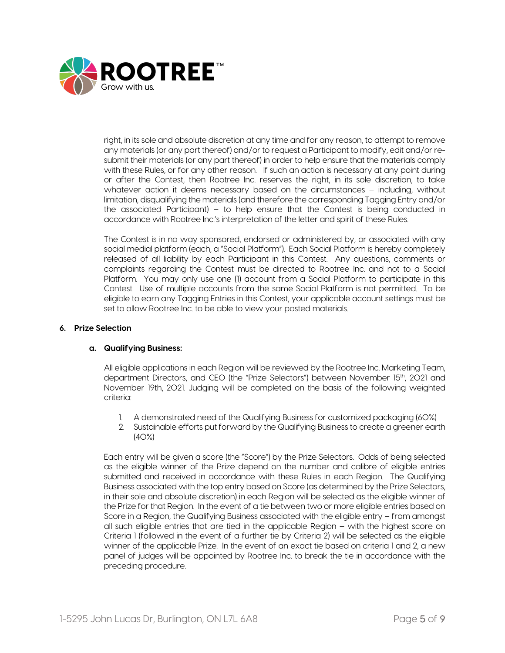

right, in its sole and absolute discretion at any time and for any reason, to attempt to remove any materials (or any part thereof) and/or to request a Participant to modify, edit and/or resubmit their materials (or any part thereof) in order to help ensure that the materials comply with these Rules, or for any other reason. If such an action is necessary at any point during or after the Contest, then Rootree Inc. reserves the right, in its sole discretion, to take whatever action it deems necessary based on the circumstances – including, without limitation, disqualifying the materials (and therefore the corresponding Tagging Entry and/or the associated Participant) – to help ensure that the Contest is being conducted in accordance with Rootree Inc.'s interpretation of the letter and spirit of these Rules.

The Contest is in no way sponsored, endorsed or administered by, or associated with any social medial platform (each, a "Social Platform"). Each Social Platform is hereby completely released of all liability by each Participant in this Contest. Any questions, comments or complaints regarding the Contest must be directed to Rootree Inc. and not to a Social Platform. You may only use one (1) account from a Social Platform to participate in this Contest. Use of multiple accounts from the same Social Platform is not permitted. To be eligible to earn any Tagging Entries in this Contest, your applicable account settings must be set to allow Rootree Inc. to be able to view your posted materials.

## **6. Prize Selection**

# **a. Qualifying Business:**

All eligible applications in each Region will be reviewed by the Rootree Inc. Marketing Team, department Directors, and CEO (the "Prize Selectors") between November 15<sup>th</sup>, 2021 and November 19th, 2021. Judging will be completed on the basis of the following weighted criteria:

- 1. A demonstrated need of the Qualifying Business for customized packaging (60%)
- 2. Sustainable efforts put forward by the Qualifying Business to create a greener earth  $(4O%)$

Each entry will be given a score (the "Score") by the Prize Selectors. Odds of being selected as the eligible winner of the Prize depend on the number and calibre of eligible entries submitted and received in accordance with these Rules in each Region. The Qualifying Business associated with the top entry based on Score (as determined by the Prize Selectors, in their sole and absolute discretion) in each Region will be selected as the eligible winner of the Prize for that Region. In the event of a tie between two or more eligible entries based on Score in a Region, the Qualifying Business associated with the eligible entry – from amongst all such eligible entries that are tied in the applicable Region – with the highest score on Criteria 1 (followed in the event of a further tie by Criteria 2) will be selected as the eligible winner of the applicable Prize. In the event of an exact tie based on criteria 1 and 2, a new panel of judges will be appointed by Rootree Inc. to break the tie in accordance with the preceding procedure.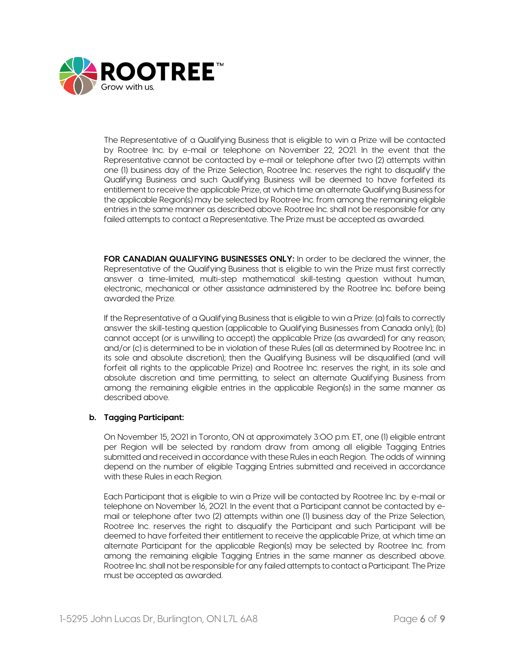

The Representative of a Qualifying Business that is eligible to win a Prize will be contacted by Rootree Inc. by e-mail or telephone on November 22, 2021. In the event that the Representative cannot be contacted by e-mail or telephone after two (2) attempts within one (1) business day of the Prize Selection, Rootree Inc. reserves the right to disqualify the Qualifying Business and such Qualifying Business will be deemed to have forfeited its entitlement to receive the applicable Prize, at which time an alternate Qualifying Business for the applicable Region(s) may be selected by Rootree Inc. from among the remaining eligible entries in the same manner as described above. Rootree Inc. shall not be responsible for any failed attempts to contact a Representative. The Prize must be accepted as awarded.

**FOR CANADIAN QUALIFYING BUSINESSES ONLY:** In order to be declared the winner, the Representative of the Qualifying Business that is eligible to win the Prize must first correctly answer a time-limited, multi-step mathematical skill-testing question without human, electronic, mechanical or other assistance administered by the Rootree Inc. before being awarded the Prize.

If the Representative of a Qualifying Business that is eligible to win a Prize: (a) fails to correctly answer the skill-testing question (applicable to Qualifying Businesses from Canada only); (b) cannot accept (or is unwilling to accept) the applicable Prize (as awarded) for any reason; and/or (c) is determined to be in violation of these Rules (all as determined by Rootree Inc. in its sole and absolute discretion); then the Qualifying Business will be disqualified (and will forfeit all rights to the applicable Prize) and Rootree Inc. reserves the right, in its sole and absolute discretion and time permitting, to select an alternate Qualifying Business from among the remaining eligible entries in the applicable Region(s) in the same manner as described above.

# **b. Tagging Participant:**

On November 15, 2021 in Toronto, ON at approximately 3:00 p.m. ET, one (1) eligible entrant per Region will be selected by random draw from among all eligible Tagging Entries submitted and received in accordance with these Rules in each Region. The odds of winning depend on the number of eligible Tagging Entries submitted and received in accordance with these Rules in each Region.

Each Participant that is eligible to win a Prize will be contacted by Rootree Inc. by e-mail or telephone on November 16, 2021. In the event that a Participant cannot be contacted by email or telephone after two (2) attempts within one (1) business day of the Prize Selection, Rootree Inc. reserves the right to disqualify the Participant and such Participant will be deemed to have forfeited their entitlement to receive the applicable Prize, at which time an alternate Participant for the applicable Region(s) may be selected by Rootree Inc. from among the remaining eligible Tagging Entries in the same manner as described above. Rootree Inc. shall not be responsible for any failed attempts to contact a Participant. The Prize must be accepted as awarded.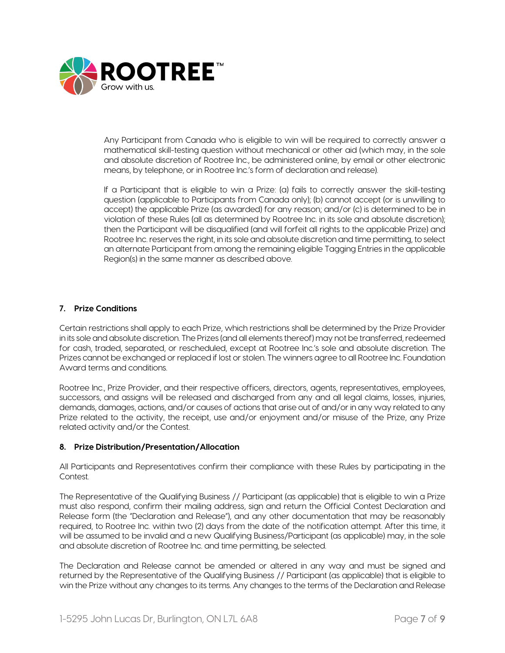

Any Participant from Canada who is eligible to win will be required to correctly answer a mathematical skill-testing question without mechanical or other aid (which may, in the sole and absolute discretion of Rootree Inc., be administered online, by email or other electronic means, by telephone, or in Rootree Inc.'s form of declaration and release).

If a Participant that is eligible to win a Prize: (a) fails to correctly answer the skill-testing question (applicable to Participants from Canada only); (b) cannot accept (or is unwilling to accept) the applicable Prize (as awarded) for any reason; and/or (c) is determined to be in violation of these Rules (all as determined by Rootree Inc. in its sole and absolute discretion); then the Participant will be disqualified (and will forfeit all rights to the applicable Prize) and Rootree Inc. reserves the right, in its sole and absolute discretion and time permitting, to select an alternate Participant from among the remaining eligible Tagging Entries in the applicable Region(s) in the same manner as described above.

# **7. Prize Conditions**

Certain restrictions shall apply to each Prize, which restrictions shall be determined by the Prize Provider in its sole and absolute discretion. The Prizes (and all elements thereof) may not be transferred, redeemed for cash, traded, separated, or rescheduled, except at Rootree Inc.'s sole and absolute discretion. The Prizes cannot be exchanged or replaced if lost or stolen. The winners agree to all Rootree Inc. Foundation Award terms and conditions.

Rootree Inc., Prize Provider, and their respective officers, directors, agents, representatives, employees, successors, and assigns will be released and discharged from any and all legal claims, losses, injuries, demands, damages, actions, and/or causes of actions that arise out of and/or in any way related to any Prize related to the activity, the receipt, use and/or enjoyment and/or misuse of the Prize, any Prize related activity and/or the Contest.

# **8. Prize Distribution/Presentation/Allocation**

All Participants and Representatives confirm their compliance with these Rules by participating in the Contest.

The Representative of the Qualifying Business // Participant (as applicable) that is eligible to win a Prize must also respond, confirm their mailing address, sign and return the Official Contest Declaration and Release form (the "Declaration and Release"), and any other documentation that may be reasonably required, to Rootree Inc. within two (2) days from the date of the notification attempt. After this time, it will be assumed to be invalid and a new Qualifying Business/Participant (as applicable) may, in the sole and absolute discretion of Rootree Inc. and time permitting, be selected.

The Declaration and Release cannot be amended or altered in any way and must be signed and returned by the Representative of the Qualifying Business // Participant (as applicable) that is eligible to win the Prize without any changes to its terms. Any changes to the terms of the Declaration and Release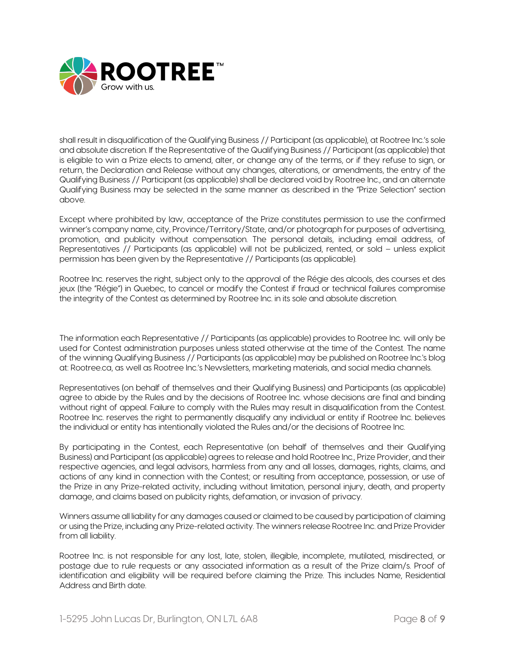

shall result in disqualification of the Qualifying Business // Participant (as applicable), at Rootree Inc.'s sole and absolute discretion. If the Representative of the Qualifying Business // Participant (as applicable) that is eligible to win a Prize elects to amend, alter, or change any of the terms, or if they refuse to sign, or return, the Declaration and Release without any changes, alterations, or amendments, the entry of the Qualifying Business // Participant (as applicable) shall be declared void by Rootree Inc., and an alternate Qualifying Business may be selected in the same manner as described in the "Prize Selection" section above.

Except where prohibited by law, acceptance of the Prize constitutes permission to use the confirmed winner's company name, city, Province/Territory/State, and/or photograph for purposes of advertising, promotion, and publicity without compensation. The personal details, including email address, of Representatives // Participants (as applicable) will not be publicized, rented, or sold – unless explicit permission has been given by the Representative // Participants (as applicable).

Rootree Inc. reserves the right, subject only to the approval of the Régie des alcools, des courses et des jeux (the "Régie") in Quebec, to cancel or modify the Contest if fraud or technical failures compromise the integrity of the Contest as determined by Rootree Inc. in its sole and absolute discretion.

The information each Representative // Participants (as applicable) provides to Rootree Inc. will only be used for Contest administration purposes unless stated otherwise at the time of the Contest. The name of the winning Qualifying Business // Participants (as applicable) may be published on Rootree Inc.'s blog at: Rootree.ca, as well as Rootree Inc.'s Newsletters, marketing materials, and social media channels.

Representatives (on behalf of themselves and their Qualifying Business) and Participants (as applicable) agree to abide by the Rules and by the decisions of Rootree Inc. whose decisions are final and binding without right of appeal. Failure to comply with the Rules may result in disqualification from the Contest. Rootree Inc. reserves the right to permanently disqualify any individual or entity if Rootree Inc. believes the individual or entity has intentionally violated the Rules and/or the decisions of Rootree Inc.

By participating in the Contest, each Representative (on behalf of themselves and their Qualifying Business) and Participant (as applicable) agrees to release and hold Rootree Inc., Prize Provider, and their respective agencies, and legal advisors, harmless from any and all losses, damages, rights, claims, and actions of any kind in connection with the Contest; or resulting from acceptance, possession, or use of the Prize in any Prize-related activity, including without limitation, personal injury, death, and property damage, and claims based on publicity rights, defamation, or invasion of privacy.

Winners assume all liability for any damages caused or claimed to be caused by participation of claiming or using the Prize, including any Prize-related activity. The winners release Rootree Inc. and Prize Provider from all liability.

Rootree Inc. is not responsible for any lost, late, stolen, illegible, incomplete, mutilated, misdirected, or postage due to rule requests or any associated information as a result of the Prize claim/s. Proof of identification and eligibility will be required before claiming the Prize. This includes Name, Residential Address and Birth date.